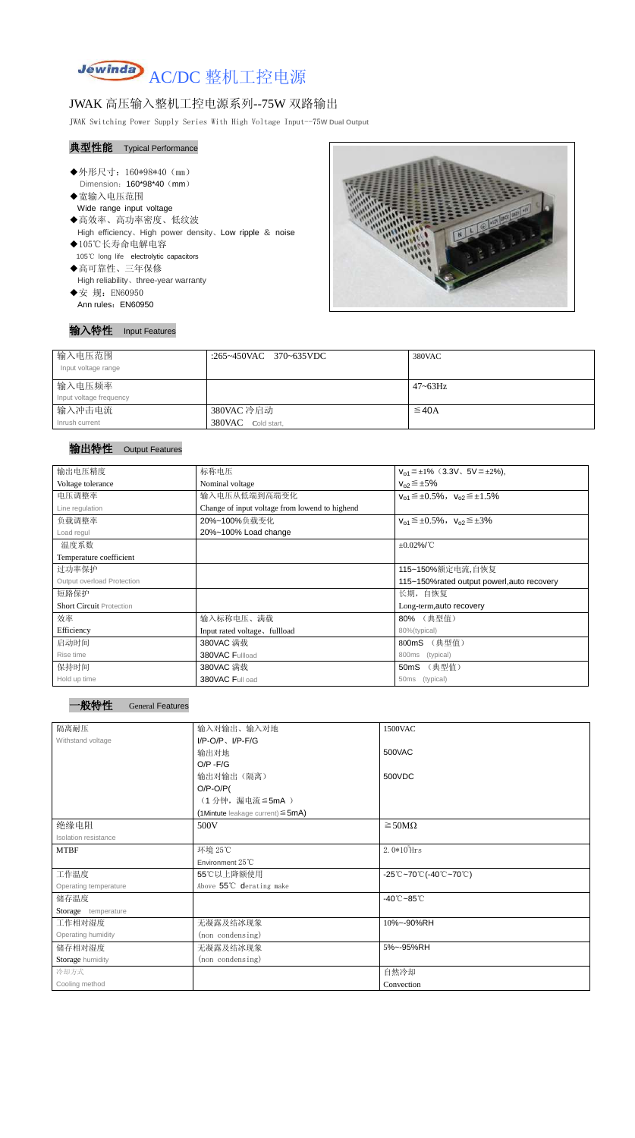

# JWAK 高压输入整机工控电源系列--75W 双路输出

JWAK Switching Power Supply Series With High Voltage Input--75**W Dual Output**

## 典型性能 Typical Performance

- ◆外形尺寸: 160\*98\*40 (mm) Dimension: 160\*98\*40 (mm)
- ◆宽输入电压范围 Wide range input voltage
- ◆高效率、高功率密度、低纹波 High efficiency、High power density、Low ripple & noise ◆105℃长寿命电解电容
- 105℃ long life electrolytic capacitors
- ◆高可靠性、三年保修 High reliability、three-year warranty
- ◆安 规: EN60950 Ann rules: EN60950



## 输入特性 Input Features

| 输入电压范围<br>Input voltage range | :265~450VAC 370~635VDC | 380VAC       |
|-------------------------------|------------------------|--------------|
| 输入电压频率                        |                        | $47 - 63$ Hz |
| Input voltage frequency       |                        |              |
| 输入冲击电流                        | 380VAC 冷启动             | $\leq$ 40A   |
| Inrush current                | 380VAC Cold start,     |              |

## 输出特性 Output Features

| 输出电压精度                          | 标称电压                                           | $V_{01} \leq \pm 1\%$ (3.3V, 5V $\leq \pm 2\%$ ), |  |  |
|---------------------------------|------------------------------------------------|---------------------------------------------------|--|--|
| Voltage tolerance               | Nominal voltage                                | $V_{02} \leq \pm 5\%$                             |  |  |
| 电压调整率                           | 输入电压从低端到高端变化                                   | $V_{01} \leq \pm 0.5\%$ , $V_{02} \leq \pm 1.5\%$ |  |  |
| Line regulation                 | Change of input voltage from lowend to highend |                                                   |  |  |
| 负载调整率                           | 20%~100%负载变化                                   | $V_{01} \leq \pm 0.5\%$ , $V_{02} \leq \pm 3\%$   |  |  |
| Load regul                      | 20%~100% Load change                           |                                                   |  |  |
| 温度系数                            | $\pm 0.02\%$ /°C                               |                                                   |  |  |
| Temperature coefficient         |                                                |                                                   |  |  |
| 过功率保护                           | 115~150%额定电流,自恢复                               |                                                   |  |  |
| Output overload Protection      | 115~150% rated output powerl, auto recovery    |                                                   |  |  |
| 短路保护                            | 长期, 自恢复                                        |                                                   |  |  |
| <b>Short Circuit Protection</b> | Long-term, auto recovery                       |                                                   |  |  |
| 效率                              | 输入标称电压、满载                                      | 80% (典型值)                                         |  |  |
| Efficiency                      | Input rated voltage, fullload<br>80%(typical)  |                                                   |  |  |
| 启动时间                            | 380VAC 满载                                      | (典型值)<br>800mS                                    |  |  |
| Rise time                       | 380VAC Fullload                                | 800ms<br>(typical)                                |  |  |
| 保持时间                            | 380VAC 满载                                      | (典型值)<br>50mS                                     |  |  |
| Hold up time                    | 380VAC Full oad                                | 50 <sub>ms</sub><br>(typical)                     |  |  |

| 隔离耐压                        | 输入对输出、输入对地                                | 1500VAC                         |  |
|-----------------------------|-------------------------------------------|---------------------------------|--|
| Withstand voltage           | $I/P-O/P$ , $I/P-F/G$                     |                                 |  |
|                             | 输出对地                                      | 500VAC                          |  |
|                             | $O/P - F/G$                               |                                 |  |
|                             | 输出对输出(隔离)                                 | 500VDC                          |  |
|                             | $O/P-O/P($                                |                                 |  |
|                             | (1分钟,漏电流≦5mA)                             |                                 |  |
|                             | $(1$ Mintute leakage current) $\leq$ 5mA) |                                 |  |
| 绝缘电阻                        | 500V                                      | $\geq$ 50M $\Omega$             |  |
| <b>Isolation resistance</b> |                                           |                                 |  |
| <b>MTBF</b>                 | 环境 25℃                                    | $2.0*105$ Hrs                   |  |
|                             | Environment 25°C                          |                                 |  |
| 工作温度                        | 55℃以上降额使用                                 | -25℃~70℃(-40℃~70℃)              |  |
| Operating temperature       | Above 55°C derating make                  |                                 |  |
| 储存温度                        |                                           | $-40^{\circ}$ C $-85^{\circ}$ C |  |
| Storage temperature         |                                           |                                 |  |
| 工作相对湿度                      | 无凝露及结冰现象                                  | 10%~-90%RH                      |  |
| Operating humidity          | (non condensing)                          |                                 |  |
| 储存相对湿度                      | 无凝露及结冰现象                                  | 5%~-95%RH                       |  |
| Storage humidity            | (non condensing)                          |                                 |  |
| 冷却方式                        |                                           | 自然冷却                            |  |
| Cooling method              |                                           | Convection                      |  |